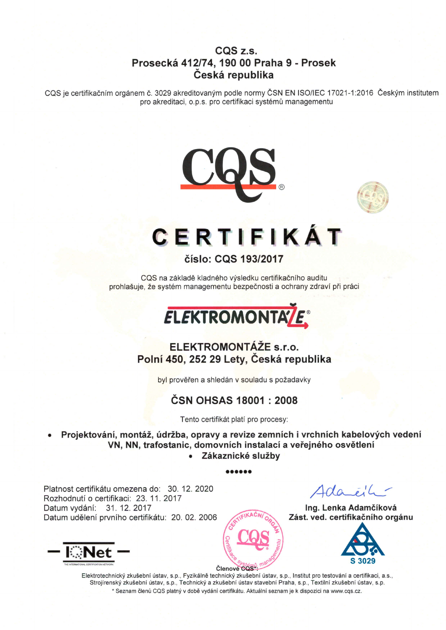## CQS z.s. Prosecke 412174, 190 00 Praha 9 - Prosek Česká republika

CQS je certifikačním orgánem č. 3029 akreditovaným podle normy ČSN EN ISO/IEC 17021-1:2016 Českým institutem pro akreditaci, o.p.s. pro certifikaci systémů managementu





# CERTIFIKAT

#### číslo: CQS 193/2017

CQS na základě kladného výsledku certifikačního auditu prohlašuje, že systém managementu bezpečnosti a ochrany zdraví při práci



## ELEKTROMONTÁŽE s.r.o. Polní 450, 252 29 Lety, Česká republika

byl prověřen a shledán v souladu s požadavky

## ČSN OHSAS 18001 : 2008

Tento certifikát platí pro procesy:

Projektování, montáž, údržba, opravy a revize zemních i vrchních kabelových vedení VN, NN, trafostanic, domovních instalací a veřejného osvětlení • Zákaznické služby

aooaaa

Platnost certifikátu omezena do: 30. 12. 2020 Rozhodnuti o certifikaci. 23. 11.2017 Datum vydání: 31. 12. 2017 Datum udělení prvního certifikátu: 20.02.2006



 $4d$ a $e^{\frac{i}{2}L}$ 

Ing. Lenka Adamčíková Zást. ved. certifikačního orgánu



Elektrotechnický zkušební ústav, s.p., Fyzikálně technický zkušební ústav, s.p., Institut pro testování a certifikaci, a.s., Strojírenský zkušební ústav, s.p., Technický a zkušební ústav stavební Praha, s.p., Textilní zkušební ústav, s.p. \* Seznam členů CQS platný v době vydání certifikátu. Aktuální seznam je k dispozici na www.cqs.cz. **COS**